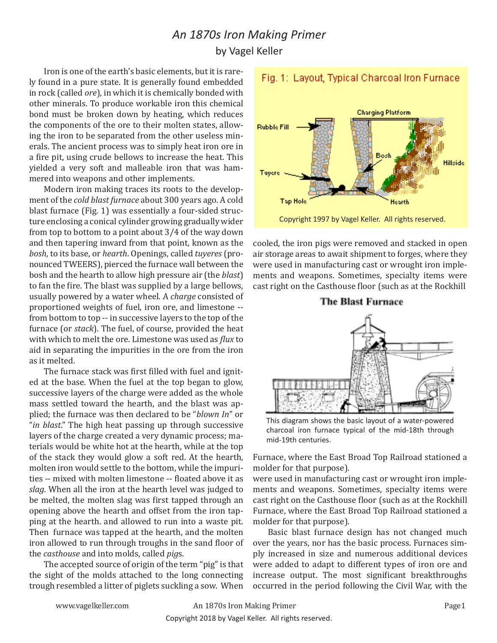## *An 1870s Iron Making Primer* by Vagel Keller

Iron is one of the earth's basic elements, but it is rarely found in a pure state. It is generally found embedded in rock (called *ore*), in which it is chemically bonded with other minerals. To produce workable iron this chemical bond must be broken down by heating, which reduces the components of the ore to their molten states, allowing the iron to be separated from the other useless minerals. The ancient process was to simply heat iron ore in a fire pit, using crude bellows to increase the heat. This yielded a very soft and malleable iron that was hammered into weapons and other implements.

Modern iron making traces its roots to the development of the *cold blast furnace* about 300 years ago. A cold blast furnace (Fig. 1) was essentially a four-sided structure enclosing a conical cylinder growing gradually wider from top to bottom to a point about 3/4 of the way down and then tapering inward from that point, known as the *bosh*, to its base, or *hearth*. Openings, called *tuyeres* (pronounced TWEERS), pierced the furnace wall between the bosh and the hearth to allow high pressure air (the *blast*) to fan the fire. The blast was supplied by a large bellows, usually powered by a water wheel. A *charge* consisted of proportioned weights of fuel, iron ore, and limestone - from bottom to top -- in successive layers to the top of the furnace (or *stack*). The fuel, of course, provided the heat with which to melt the ore. Limestone was used as *flux* to aid in separating the impurities in the ore from the iron as it melted.

The furnace stack was first filled with fuel and ignited at the base. When the fuel at the top began to glow, successive layers of the charge were added as the whole mass settled toward the hearth, and the blast was applied; the furnace was then declared to be "*blown In*" or "*in blast*." The high heat passing up through successive layers of the charge created a very dynamic process; materials would be white hot at the hearth, while at the top of the stack they would glow a soft red. At the hearth, molten iron would settle to the bottom, while the impurities -- mixed with molten limestone -- floated above it as *slag*. When all the iron at the hearth level was judged to be melted, the molten slag was first tapped through an opening above the hearth and offset from the iron tapping at the hearth. and allowed to run into a waste pit. Then furnace was tapped at the hearth, and the molten iron allowed to run through troughs in the sand floor of the *casthouse* and into molds, called *pig*s.

The accepted source of origin of the term "pig" is that the sight of the molds attached to the long connecting trough resembled a litter of piglets suckling a sow. When



## Fig. 1: Layout, Typical Charcoal Iron Furnace

cooled, the iron pigs were removed and stacked in open air storage areas to await shipment to forges, where they were used in manufacturing cast or wrought iron implements and weapons. Sometimes, specialty items were cast right on the Casthouse floor (such as at the Rockhill



This diagram shows the basic layout of a water-powered charcoal iron furnace typical of the mid-18th through mid-19th centuries.

Furnace, where the East Broad Top Railroad stationed a molder for that purpose).

were used in manufacturing cast or wrought iron implements and weapons. Sometimes, specialty items were cast right on the Casthouse floor (such as at the Rockhill Furnace, where the East Broad Top Railroad stationed a molder for that purpose).

Basic blast furnace design has not changed much over the years, nor has the basic process. Furnaces simply increased in size and numerous additional devices were added to adapt to different types of iron ore and increase output. The most significant breakthroughs occurred in the period following the Civil War, with the